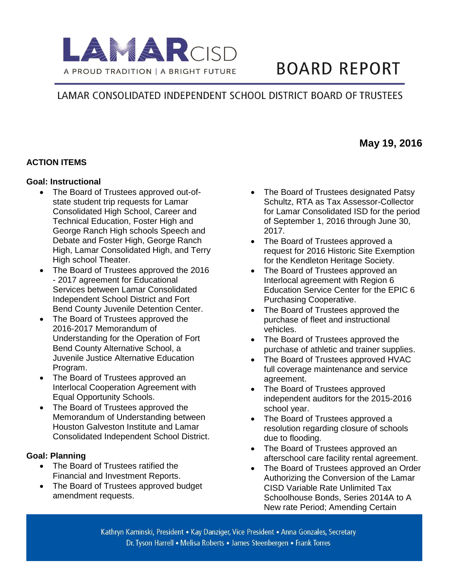

# **BOARD REPORT**

# LAMAR CONSOLIDATED INDEPENDENT SCHOOL DISTRICT BOARD OF TRUSTEES

## **ACTION ITEMS**

#### **Goal: Instructional**

- The Board of Trustees approved out-ofstate student trip requests for Lamar Consolidated High School, Career and Technical Education, Foster High and George Ranch High schools Speech and Debate and Foster High, George Ranch High, Lamar Consolidated High, and Terry High school Theater.
- The Board of Trustees approved the 2016 - 2017 agreement for Educational Services between Lamar Consolidated Independent School District and Fort Bend County Juvenile Detention Center.
- The Board of Trustees approved the 2016-2017 Memorandum of Understanding for the Operation of Fort Bend County Alternative School, a Juvenile Justice Alternative Education Program.
- The Board of Trustees approved an Interlocal Cooperation Agreement with Equal Opportunity Schools.
- The Board of Trustees approved the Memorandum of Understanding between Houston Galveston Institute and Lamar Consolidated Independent School District.

#### **Goal: Planning**

- The Board of Trustees ratified the Financial and Investment Reports.
- The Board of Trustees approved budget amendment requests.
- The Board of Trustees designated Patsy Schultz, RTA as Tax Assessor-Collector for Lamar Consolidated ISD for the period of September 1, 2016 through June 30, 2017.
- The Board of Trustees approved a request for 2016 Historic Site Exemption for the Kendleton Heritage Society.
- The Board of Trustees approved an Interlocal agreement with Region 6 Education Service Center for the EPIC 6 Purchasing Cooperative.
- The Board of Trustees approved the purchase of fleet and instructional vehicles.
- The Board of Trustees approved the purchase of athletic and trainer supplies.
- The Board of Trustees approved HVAC full coverage maintenance and service agreement.
- The Board of Trustees approved independent auditors for the 2015-2016 school year.
- The Board of Trustees approved a resolution regarding closure of schools due to flooding.
- The Board of Trustees approved an afterschool care facility rental agreement.
- The Board of Trustees approved an Order Authorizing the Conversion of the Lamar CISD Variable Rate Unlimited Tax Schoolhouse Bonds, Series 2014A to A New rate Period; Amending Certain

Kathryn Kaminski, President • Kay Danziger, Vice President • Anna Gonzales, Secretary Dr. Tyson Harrell • Melisa Roberts • James Steenbergen • Frank Torres

# **May 19, 2016**